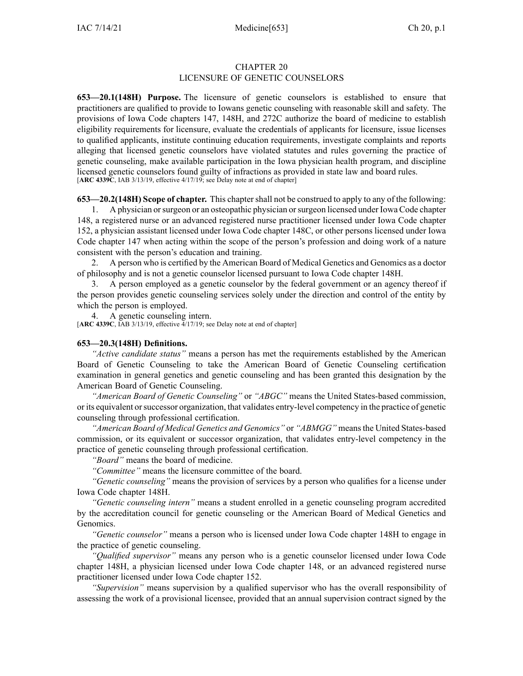## CHAPTER 20 LICENSURE OF GENETIC COUNSELORS

**653—20.1(148H) Purpose.** The licensure of genetic counselors is established to ensure that practitioners are qualified to provide to Iowans genetic counseling with reasonable skill and safety. The provisions of Iowa Code chapters [147](https://www.legis.iowa.gov/docs/ico/chapter/147.pdf), [148H](https://www.legis.iowa.gov/docs/ico/chapter/148H.pdf), and [272C](https://www.legis.iowa.gov/docs/ico/chapter/272C.pdf) authorize the board of medicine to establish eligibility requirements for licensure, evaluate the credentials of applicants for licensure, issue licenses to qualified applicants, institute continuing education requirements, investigate complaints and reports alleging that licensed genetic counselors have violated statutes and rules governing the practice of genetic counseling, make available participation in the Iowa physician health program, and discipline licensed genetic counselors found guilty of infractions as provided in state law and board rules. [**ARC [4339C](https://www.legis.iowa.gov/docs/aco/arc/4339C.pdf)**, IAB 3/13/19, effective 4/17/19; see Delay note at end of chapter]

**653—20.2(148H)** Scope of chapter. This chapter shall not be construed to apply to any of the following:

1. A physician orsurgeon or an osteopathic physician orsurgeon licensed under Iowa Code chapter [148](https://www.legis.iowa.gov/docs/ico/chapter/148.pdf), <sup>a</sup> registered nurse or an advanced registered nurse practitioner licensed under Iowa Code chapter [152](https://www.legis.iowa.gov/docs/ico/chapter/152.pdf), <sup>a</sup> physician assistant licensed under Iowa Code chapter [148C](https://www.legis.iowa.gov/docs/ico/chapter/148C.pdf), or other persons licensed under Iowa Code chapter [147](https://www.legis.iowa.gov/docs/ico/chapter/147.pdf) when acting within the scope of the person's profession and doing work of <sup>a</sup> nature consistent with the person's education and training.

2. A person who is certified by the American Board of Medical Genetics and Genomics as <sup>a</sup> doctor of philosophy and is not <sup>a</sup> genetic counselor licensed pursuan<sup>t</sup> to Iowa Code chapter [148H](https://www.legis.iowa.gov/docs/ico/chapter/148H.pdf).

3. A person employed as <sup>a</sup> genetic counselor by the federal governmen<sup>t</sup> or an agency thereof if the person provides genetic counseling services solely under the direction and control of the entity by which the person is employed.

4. A genetic counseling intern.

[**ARC [4339C](https://www.legis.iowa.gov/docs/aco/arc/4339C.pdf)**, IAB 3/13/19, effective 4/17/19; see Delay note at end of chapter]

#### **653—20.3(148H) Definitions.**

*"Active candidate status"* means <sup>a</sup> person has met the requirements established by the American Board of Genetic Counseling to take the American Board of Genetic Counseling certification examination in general genetics and genetic counseling and has been granted this designation by the American Board of Genetic Counseling.

*"American Board of Genetic Counseling"* or *"ABGC"* means the United States-based commission, or its equivalent orsuccessor organization, that validates entry-level competency in the practice of genetic counseling through professional certification.

*"American Board of Medical Genetics and Genomics"* or *"ABMGG"* meansthe United States-based commission, or its equivalent or successor organization, that validates entry-level competency in the practice of genetic counseling through professional certification.

*"Board"* means the board of medicine.

*"Committee"* means the licensure committee of the board.

*"Genetic counseling"* means the provision of services by <sup>a</sup> person who qualifies for <sup>a</sup> license under Iowa Code chapter [148H](https://www.legis.iowa.gov/docs/ico/chapter/148H.pdf).

*"Genetic counseling intern"* means <sup>a</sup> student enrolled in <sup>a</sup> genetic counseling program accredited by the accreditation council for genetic counseling or the American Board of Medical Genetics and Genomics.

*"Genetic counselor"* means <sup>a</sup> person who is licensed under Iowa Code chapter [148H](https://www.legis.iowa.gov/docs/ico/chapter/148H.pdf) to engage in the practice of genetic counseling.

*"Qualified supervisor"* means any person who is <sup>a</sup> genetic counselor licensed under Iowa Code chapter [148H](https://www.legis.iowa.gov/docs/ico/chapter/148H.pdf), <sup>a</sup> physician licensed under Iowa Code chapter [148](https://www.legis.iowa.gov/docs/ico/chapter/148.pdf), or an advanced registered nurse practitioner licensed under Iowa Code chapter [152](https://www.legis.iowa.gov/docs/ico/chapter/152.pdf).

*"Supervision"* means supervision by <sup>a</sup> qualified supervisor who has the overall responsibility of assessing the work of <sup>a</sup> provisional licensee, provided that an annual supervision contract signed by the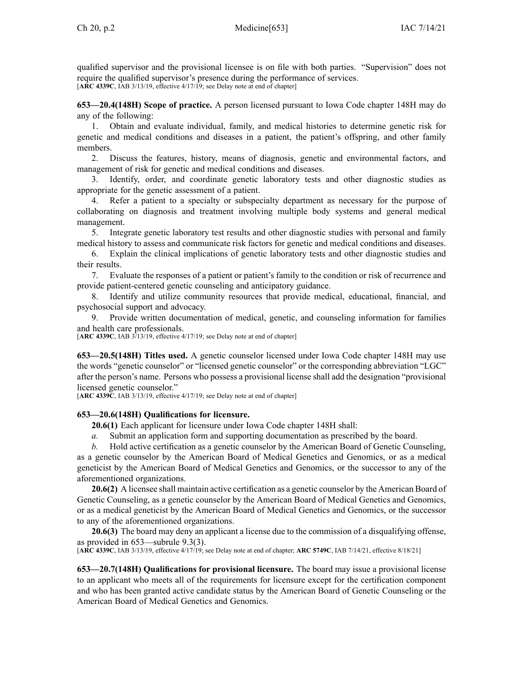qualified supervisor and the provisional licensee is on file with both parties. "Supervision" does not require the qualified supervisor's presence during the performance of services. [**ARC [4339C](https://www.legis.iowa.gov/docs/aco/arc/4339C.pdf)**, IAB 3/13/19, effective 4/17/19; see Delay note at end of chapter]

**653—20.4(148H) Scope of practice.** A person licensed pursuan<sup>t</sup> to Iowa Code chapter [148H](https://www.legis.iowa.gov/docs/ico/chapter/148H.pdf) may do any of the following:

1. Obtain and evaluate individual, family, and medical histories to determine genetic risk for genetic and medical conditions and diseases in <sup>a</sup> patient, the patient's offspring, and other family members.

2. Discuss the features, history, means of diagnosis, genetic and environmental factors, and managemen<sup>t</sup> of risk for genetic and medical conditions and diseases.

3. Identify, order, and coordinate genetic laboratory tests and other diagnostic studies as appropriate for the genetic assessment of <sup>a</sup> patient.

4. Refer <sup>a</sup> patient to <sup>a</sup> specialty or subspecialty department as necessary for the purpose of collaborating on diagnosis and treatment involving multiple body systems and general medical management.

5. Integrate genetic laboratory test results and other diagnostic studies with personal and family medical history to assess and communicate risk factors for genetic and medical conditions and diseases.

6. Explain the clinical implications of genetic laboratory tests and other diagnostic studies and their results.

7. Evaluate the responses of <sup>a</sup> patient or patient's family to the condition or risk of recurrence and provide patient-centered genetic counseling and anticipatory guidance.

8. Identify and utilize community resources that provide medical, educational, financial, and psychosocial suppor<sup>t</sup> and advocacy.

9. Provide written documentation of medical, genetic, and counseling information for families and health care professionals.

[**ARC [4339C](https://www.legis.iowa.gov/docs/aco/arc/4339C.pdf)**, IAB 3/13/19, effective 4/17/19; see Delay note at end of chapter]

**653—20.5(148H) Titles used.** A genetic counselor licensed under Iowa Code chapter [148H](https://www.legis.iowa.gov/docs/ico/chapter/148H.pdf) may use the words "genetic counselor" or "licensed genetic counselor" or the corresponding abbreviation "LGC" after the person's name. Persons who possess <sup>a</sup> provisional license shall add the designation "provisional licensed genetic counselor."

[**ARC [4339C](https://www.legis.iowa.gov/docs/aco/arc/4339C.pdf)**, IAB 3/13/19, effective 4/17/19; see Delay note at end of chapter]

#### **653—20.6(148H) Qualifications for licensure.**

**20.6(1)** Each applicant for licensure under Iowa Code chapter [148H](https://www.legis.iowa.gov/docs/ico/chapter/148H.pdf) shall:

- *a.* Submit an application form and supporting documentation as prescribed by the board.
- *b.* Hold active certification as <sup>a</sup> genetic counselor by the American Board of Genetic Counseling,

as <sup>a</sup> genetic counselor by the American Board of Medical Genetics and Genomics, or as <sup>a</sup> medical geneticist by the American Board of Medical Genetics and Genomics, or the successor to any of the aforementioned organizations.

**20.6(2)** A licensee shall maintain active certification as <sup>a</sup> genetic counselor by the American Board of Genetic Counseling, as <sup>a</sup> genetic counselor by the American Board of Medical Genetics and Genomics, or as <sup>a</sup> medical geneticist by the American Board of Medical Genetics and Genomics, or the successor to any of the aforementioned organizations.

**20.6(3)** The board may deny an applicant <sup>a</sup> license due to the commission of <sup>a</sup> disqualifying offense, as provided in [653—subrule](https://www.legis.iowa.gov/docs/iac/rule/653.9.3.pdf) 9.3(3).

[**ARC [4339C](https://www.legis.iowa.gov/docs/aco/arc/4339C.pdf)**, IAB 3/13/19, effective 4/17/19; see Delay note at end of chapter; **ARC [5749C](https://www.legis.iowa.gov/docs/aco/arc/5749C.pdf)**, IAB 7/14/21, effective 8/18/21]

**653—20.7(148H) Qualifications for provisional licensure.** The board may issue <sup>a</sup> provisional license to an applicant who meets all of the requirements for licensure excep<sup>t</sup> for the certification componen<sup>t</sup> and who has been granted active candidate status by the American Board of Genetic Counseling or the American Board of Medical Genetics and Genomics.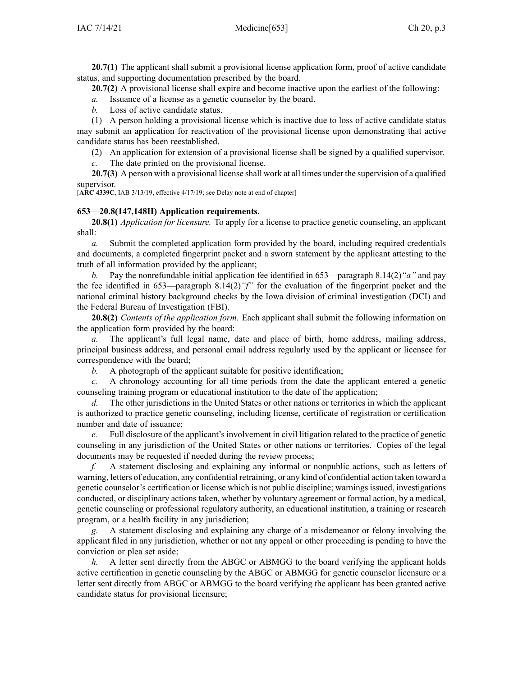**20.7(1)** The applicant shall submit a provisional license application form, proof of active candidate status, and supporting documentation prescribed by the board.

**20.7(2)** A provisional license shall expire and become inactive upon the earliest of the following:

*a.* Issuance of <sup>a</sup> license as <sup>a</sup> genetic counselor by the board.

*b.* Loss of active candidate status.

(1) A person holding <sup>a</sup> provisional license which is inactive due to loss of active candidate status may submit an application for reactivation of the provisional license upon demonstrating that active candidate status has been reestablished.

(2) An application for extension of <sup>a</sup> provisional license shall be signed by <sup>a</sup> qualified supervisor.

*c.* The date printed on the provisional license.

**20.7(3)** A person with <sup>a</sup> provisional license shall work at all times under the supervision of <sup>a</sup> qualified supervisor.

[**ARC [4339C](https://www.legis.iowa.gov/docs/aco/arc/4339C.pdf)**, IAB 3/13/19, effective 4/17/19; see Delay note at end of chapter]

## **653—20.8(147,148H) Application requirements.**

**20.8(1)** *Application for licensure.* To apply for <sup>a</sup> license to practice genetic counseling, an applicant shall:

*a.* Submit the completed application form provided by the board, including required credentials and documents, <sup>a</sup> completed fingerprint packet and <sup>a</sup> sworn statement by the applicant attesting to the truth of all information provided by the applicant;

*b.* Pay the nonrefundable initial application fee identified in 653—paragraph 8.14(2)*"a"* and pay the fee identified in 653—paragraph 8.14(2)*"f"* for the evaluation of the fingerprint packet and the national criminal history background checks by the Iowa division of criminal investigation (DCI) and the Federal Bureau of Investigation (FBI).

**20.8(2)** *Contents of the application form.* Each applicant shall submit the following information on the application form provided by the board:

*a.* The applicant's full legal name, date and place of birth, home address, mailing address, principal business address, and personal email address regularly used by the applicant or licensee for correspondence with the board;

*b.* A photograph of the applicant suitable for positive identification;

*c.* A chronology accounting for all time periods from the date the applicant entered <sup>a</sup> genetic counseling training program or educational institution to the date of the application;

*d.* The other jurisdictions in the United States or other nations or territories in which the applicant is authorized to practice genetic counseling, including license, certificate of registration or certification number and date of issuance;

*e.* Full disclosure of the applicant's involvement in civil litigation related to the practice of genetic counseling in any jurisdiction of the United States or other nations or territories. Copies of the legal documents may be requested if needed during the review process;

*f.* A statement disclosing and explaining any informal or nonpublic actions, such as letters of warning, letters of education, any confidential retraining, or any kind of confidential action taken toward <sup>a</sup> genetic counselor's certification or license which is not public discipline; warnings issued, investigations conducted, or disciplinary actions taken, whether by voluntary agreemen<sup>t</sup> or formal action, by <sup>a</sup> medical, genetic counseling or professional regulatory authority, an educational institution, <sup>a</sup> training or research program, or <sup>a</sup> health facility in any jurisdiction;

*g.* A statement disclosing and explaining any charge of <sup>a</sup> misdemeanor or felony involving the applicant filed in any jurisdiction, whether or not any appeal or other proceeding is pending to have the conviction or plea set aside;

*h.* A letter sent directly from the ABGC or ABMGG to the board verifying the applicant holds active certification in genetic counseling by the ABGC or ABMGG for genetic counselor licensure or <sup>a</sup> letter sent directly from ABGC or ABMGG to the board verifying the applicant has been granted active candidate status for provisional licensure;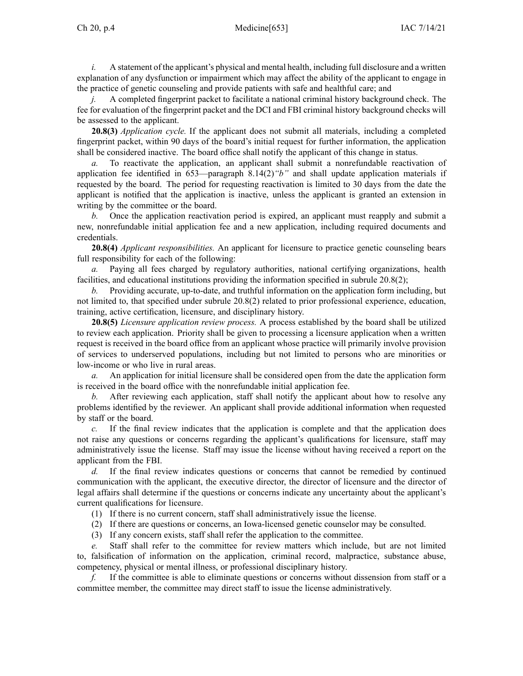*i.* A statement of the applicant's physical and mental health, including full disclosure and a written explanation of any dysfunction or impairment which may affect the ability of the applicant to engage in the practice of genetic counseling and provide patients with safe and healthful care; and

*j.* A completed fingerprint packet to facilitate a national criminal history background check. The fee for evaluation of the fingerprint packet and the DCI and FBI criminal history background checks will be assessed to the applicant.

**20.8(3)** *Application cycle.* If the applicant does not submit all materials, including <sup>a</sup> completed fingerprint packet, within 90 days of the board's initial reques<sup>t</sup> for further information, the application shall be considered inactive. The board office shall notify the applicant of this change in status.

*a.* To reactivate the application, an applicant shall submit <sup>a</sup> nonrefundable reactivation of application fee identified in 653—paragraph 8.14(2)*"b"* and shall update application materials if requested by the board. The period for requesting reactivation is limited to 30 days from the date the applicant is notified that the application is inactive, unless the applicant is granted an extension in writing by the committee or the board.

*b.* Once the application reactivation period is expired, an applicant must reapply and submit <sup>a</sup> new, nonrefundable initial application fee and <sup>a</sup> new application, including required documents and credentials.

**20.8(4)** *Applicant responsibilities.* An applicant for licensure to practice genetic counseling bears full responsibility for each of the following:

*a.* Paying all fees charged by regulatory authorities, national certifying organizations, health facilities, and educational institutions providing the information specified in subrule 20.8(2);

*b.* Providing accurate, up-to-date, and truthful information on the application form including, but not limited to, that specified under subrule 20.8(2) related to prior professional experience, education, training, active certification, licensure, and disciplinary history.

**20.8(5)** *Licensure application review process.* A process established by the board shall be utilized to review each application. Priority shall be given to processing <sup>a</sup> licensure application when <sup>a</sup> written reques<sup>t</sup> is received in the board office from an applicant whose practice will primarily involve provision of services to underserved populations, including but not limited to persons who are minorities or low-income or who live in rural areas.

*a.* An application for initial licensure shall be considered open from the date the application form is received in the board office with the nonrefundable initial application fee.

*b.* After reviewing each application, staff shall notify the applicant about how to resolve any problems identified by the reviewer. An applicant shall provide additional information when requested by staff or the board.

*c.* If the final review indicates that the application is complete and that the application does not raise any questions or concerns regarding the applicant's qualifications for licensure, staff may administratively issue the license. Staff may issue the license without having received <sup>a</sup> repor<sup>t</sup> on the applicant from the FBI.

*d.* If the final review indicates questions or concerns that cannot be remedied by continued communication with the applicant, the executive director, the director of licensure and the director of legal affairs shall determine if the questions or concerns indicate any uncertainty about the applicant's current qualifications for licensure.

- (1) If there is no current concern, staff shall administratively issue the license.
- (2) If there are questions or concerns, an Iowa-licensed genetic counselor may be consulted.
- (3) If any concern exists, staff shall refer the application to the committee.

*e.* Staff shall refer to the committee for review matters which include, but are not limited to, falsification of information on the application, criminal record, malpractice, substance abuse, competency, physical or mental illness, or professional disciplinary history.

*f.* If the committee is able to eliminate questions or concerns without dissension from staff or <sup>a</sup> committee member, the committee may direct staff to issue the license administratively.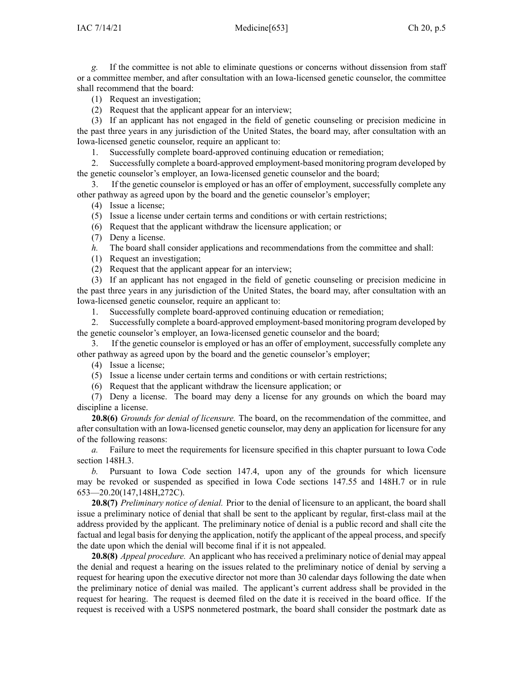*g.* If the committee is not able to eliminate questions or concerns without dissension from staff or <sup>a</sup> committee member, and after consultation with an Iowa-licensed genetic counselor, the committee shall recommend that the board:

(1) Request an investigation;

(2) Request that the applicant appear for an interview;

(3) If an applicant has not engaged in the field of genetic counseling or precision medicine in the pas<sup>t</sup> three years in any jurisdiction of the United States, the board may, after consultation with an Iowa-licensed genetic counselor, require an applicant to:

1. Successfully complete board-approved continuing education or remediation;

2. Successfully complete <sup>a</sup> board-approved employment-based monitoring program developed by the genetic counselor's employer, an Iowa-licensed genetic counselor and the board;

3. If the genetic counselor is employed or has an offer of employment, successfully complete any other pathway as agreed upon by the board and the genetic counselor's employer;

(4) Issue <sup>a</sup> license;

(5) Issue <sup>a</sup> license under certain terms and conditions or with certain restrictions;

(6) Request that the applicant withdraw the licensure application; or

(7) Deny <sup>a</sup> license.

*h.* The board shall consider applications and recommendations from the committee and shall:

(1) Request an investigation;

(2) Request that the applicant appear for an interview;

(3) If an applicant has not engaged in the field of genetic counseling or precision medicine in the pas<sup>t</sup> three years in any jurisdiction of the United States, the board may, after consultation with an Iowa-licensed genetic counselor, require an applicant to:

1. Successfully complete board-approved continuing education or remediation;

2. Successfully complete <sup>a</sup> board-approved employment-based monitoring program developed by the genetic counselor's employer, an Iowa-licensed genetic counselor and the board;

3. If the genetic counselor is employed or has an offer of employment, successfully complete any other pathway as agreed upon by the board and the genetic counselor's employer;

(4) Issue <sup>a</sup> license;

(5) Issue <sup>a</sup> license under certain terms and conditions or with certain restrictions;

(6) Request that the applicant withdraw the licensure application; or

(7) Deny <sup>a</sup> license. The board may deny <sup>a</sup> license for any grounds on which the board may discipline <sup>a</sup> license.

**20.8(6)** *Grounds for denial of licensure.* The board, on the recommendation of the committee, and after consultation with an Iowa-licensed genetic counselor, may deny an application for licensure for any of the following reasons:

*a.* Failure to meet the requirements for licensure specified in this chapter pursuan<sup>t</sup> to Iowa Code section [148H.3](https://www.legis.iowa.gov/docs/ico/section/148H.3.pdf).

*b.* Pursuant to Iowa Code section [147.4](https://www.legis.iowa.gov/docs/ico/section/147.4.pdf), upon any of the grounds for which licensure may be revoked or suspended as specified in Iowa Code sections [147.55](https://www.legis.iowa.gov/docs/ico/section/147.55.pdf) and [148H.7](https://www.legis.iowa.gov/docs/ico/section/148H.7.pdf) or in rule 653—20.20(147,148H,272C).

**20.8(7)** *Preliminary notice of denial.* Prior to the denial of licensure to an applicant, the board shall issue <sup>a</sup> preliminary notice of denial that shall be sent to the applicant by regular, first-class mail at the address provided by the applicant. The preliminary notice of denial is <sup>a</sup> public record and shall cite the factual and legal basis for denying the application, notify the applicant of the appeal process, and specify the date upon which the denial will become final if it is not appealed.

**20.8(8)** *Appeal procedure.* An applicant who has received <sup>a</sup> preliminary notice of denial may appeal the denial and reques<sup>t</sup> <sup>a</sup> hearing on the issues related to the preliminary notice of denial by serving <sup>a</sup> reques<sup>t</sup> for hearing upon the executive director not more than 30 calendar days following the date when the preliminary notice of denial was mailed. The applicant's current address shall be provided in the reques<sup>t</sup> for hearing. The reques<sup>t</sup> is deemed filed on the date it is received in the board office. If the reques<sup>t</sup> is received with <sup>a</sup> USPS nonmetered postmark, the board shall consider the postmark date as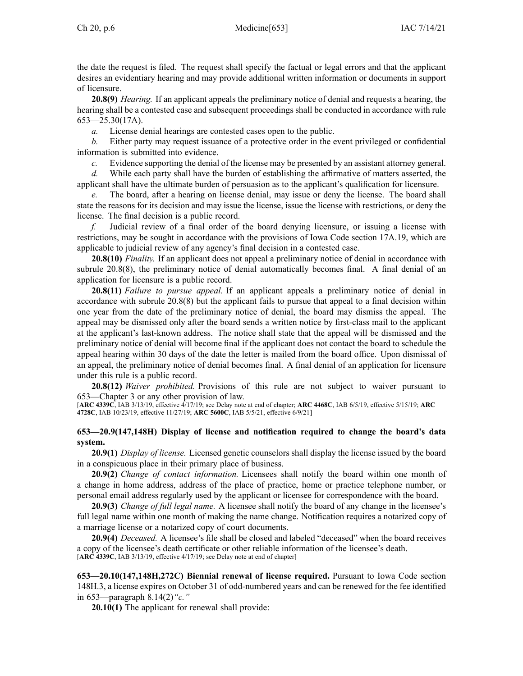the date the reques<sup>t</sup> is filed. The reques<sup>t</sup> shall specify the factual or legal errors and that the applicant desires an evidentiary hearing and may provide additional written information or documents in suppor<sup>t</sup> of licensure.

**20.8(9)** *Hearing.* If an applicant appeals the preliminary notice of denial and requests <sup>a</sup> hearing, the hearing shall be <sup>a</sup> contested case and subsequent proceedings shall be conducted in accordance with rule  $653 - 25.30(17A)$ .

*a.* License denial hearings are contested cases open to the public.

*b.* Either party may reques<sup>t</sup> issuance of <sup>a</sup> protective order in the event privileged or confidential information is submitted into evidence.

*c.* Evidence supporting the denial of the license may be presented by an assistant attorney general.

*d.* While each party shall have the burden of establishing the affirmative of matters asserted, the applicant shall have the ultimate burden of persuasion as to the applicant's qualification for licensure.

The board, after a hearing on license denial, may issue or deny the license. The board shall state the reasons for its decision and may issue the license, issue the license with restrictions, or deny the license. The final decision is <sup>a</sup> public record.

*f.* Judicial review of <sup>a</sup> final order of the board denying licensure, or issuing <sup>a</sup> license with restrictions, may be sought in accordance with the provisions of Iowa Code section [17A.19](https://www.legis.iowa.gov/docs/ico/section/17A.19.pdf), which are applicable to judicial review of any agency's final decision in <sup>a</sup> contested case.

**20.8(10)** *Finality.* If an applicant does not appeal <sup>a</sup> preliminary notice of denial in accordance with subrule 20.8(8), the preliminary notice of denial automatically becomes final. A final denial of an application for licensure is <sup>a</sup> public record.

**20.8(11)** *Failure to pursue appeal.* If an applicant appeals <sup>a</sup> preliminary notice of denial in accordance with subrule 20.8(8) but the applicant fails to pursue that appeal to <sup>a</sup> final decision within one year from the date of the preliminary notice of denial, the board may dismiss the appeal. The appeal may be dismissed only after the board sends <sup>a</sup> written notice by first-class mail to the applicant at the applicant's last-known address. The notice shall state that the appeal will be dismissed and the preliminary notice of denial will become final if the applicant does not contact the board to schedule the appeal hearing within 30 days of the date the letter is mailed from the board office. Upon dismissal of an appeal, the preliminary notice of denial becomes final. A final denial of an application for licensure under this rule is <sup>a</sup> public record.

**20.8(12)** *Waiver prohibited.* Provisions of this rule are not subject to waiver pursuan<sup>t</sup> to [653—Chapter](https://www.legis.iowa.gov/docs/iac/chapter/653.3.pdf) 3 or any other provision of law.

[**ARC [4339C](https://www.legis.iowa.gov/docs/aco/arc/4339C.pdf)**, IAB 3/13/19, effective 4/17/19; see Delay note at end of chapter; **ARC [4468C](https://www.legis.iowa.gov/docs/aco/arc/4468C.pdf)**, IAB 6/5/19, effective 5/15/19; **[ARC](https://www.legis.iowa.gov/docs/aco/arc/4728C.pdf) [4728C](https://www.legis.iowa.gov/docs/aco/arc/4728C.pdf)**, IAB 10/23/19, effective 11/27/19; **ARC [5600C](https://www.legis.iowa.gov/docs/aco/arc/5600C.pdf)**, IAB 5/5/21, effective 6/9/21]

## **653—20.9(147,148H) Display of license and notification required to change the board's data system.**

**20.9(1)** *Display of license.* Licensed genetic counselors shall display the license issued by the board in <sup>a</sup> conspicuous place in their primary place of business.

**20.9(2)** *Change of contact information.* Licensees shall notify the board within one month of <sup>a</sup> change in home address, address of the place of practice, home or practice telephone number, or personal email address regularly used by the applicant or licensee for correspondence with the board.

**20.9(3)** *Change of full legal name.* A licensee shall notify the board of any change in the licensee's full legal name within one month of making the name change. Notification requires <sup>a</sup> notarized copy of <sup>a</sup> marriage license or <sup>a</sup> notarized copy of court documents.

**20.9(4)** *Deceased.* A licensee's file shall be closed and labeled "deceased" when the board receives <sup>a</sup> copy of the licensee's death certificate or other reliable information of the licensee's death. [**ARC [4339C](https://www.legis.iowa.gov/docs/aco/arc/4339C.pdf)**, IAB 3/13/19, effective 4/17/19; see Delay note at end of chapter]

**653—20.10(147,148H,272C) Biennial renewal of license required.** Pursuant to Iowa Code section [148H.3](https://www.legis.iowa.gov/docs/ico/section/148H.3.pdf), <sup>a</sup> license expires on October 31 of odd-numbered years and can be renewed for the fee identified in 653—paragraph 8.14(2)*"c."*

**20.10(1)** The applicant for renewal shall provide: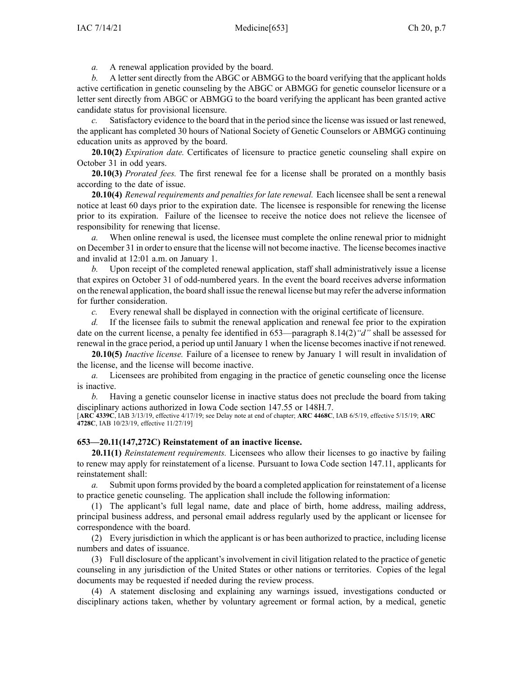*a.* A renewal application provided by the board.

*b.* A letter sent directly from the ABGC or ABMGG to the board verifying that the applicant holds active certification in genetic counseling by the ABGC or ABMGG for genetic counselor licensure or <sup>a</sup> letter sent directly from ABGC or ABMGG to the board verifying the applicant has been granted active candidate status for provisional licensure.

*c.* Satisfactory evidence to the board that in the period since the license wasissued or last renewed, the applicant has completed 30 hours of National Society of Genetic Counselors or ABMGG continuing education units as approved by the board.

**20.10(2)** *Expiration date.* Certificates of licensure to practice genetic counseling shall expire on October 31 in odd years.

**20.10(3)** *Prorated fees.* The first renewal fee for <sup>a</sup> license shall be prorated on <sup>a</sup> monthly basis according to the date of issue.

**20.10(4)** *Renewal requirements and penalties for late renewal.* Each licensee shall be sent <sup>a</sup> renewal notice at least 60 days prior to the expiration date. The licensee is responsible for renewing the license prior to its expiration. Failure of the licensee to receive the notice does not relieve the licensee of responsibility for renewing that license.

*a.* When online renewal is used, the licensee must complete the online renewal prior to midnight on December 31 in order to ensure that the license will not become inactive. The license becomesinactive and invalid at 12:01 a.m. on January 1.

*b.* Upon receipt of the completed renewal application, staff shall administratively issue <sup>a</sup> license that expires on October 31 of odd-numbered years. In the event the board receives adverse information on the renewal application, the board shall issue the renewal license but may refer the adverse information for further consideration.

*c.* Every renewal shall be displayed in connection with the original certificate of licensure.

*d.* If the licensee fails to submit the renewal application and renewal fee prior to the expiration date on the current license, <sup>a</sup> penalty fee identified in 653—paragraph 8.14(2)*"d"* shall be assessed for renewal in the grace period, a period up until January 1 when the license becomes inactive if not renewed.

**20.10(5)** *Inactive license.* Failure of <sup>a</sup> licensee to renew by January 1 will result in invalidation of the license, and the license will become inactive.

*a.* Licensees are prohibited from engaging in the practice of genetic counseling once the license is inactive.

*b.* Having <sup>a</sup> genetic counselor license in inactive status does not preclude the board from taking disciplinary actions authorized in Iowa Code section [147.55](https://www.legis.iowa.gov/docs/ico/section/147.55.pdf) or [148H.7](https://www.legis.iowa.gov/docs/ico/section/148H.7.pdf).

[**ARC [4339C](https://www.legis.iowa.gov/docs/aco/arc/4339C.pdf)**, IAB 3/13/19, effective 4/17/19; see Delay note at end of chapter; **ARC [4468C](https://www.legis.iowa.gov/docs/aco/arc/4468C.pdf)**, IAB 6/5/19, effective 5/15/19; **[ARC](https://www.legis.iowa.gov/docs/aco/arc/4728C.pdf) [4728C](https://www.legis.iowa.gov/docs/aco/arc/4728C.pdf)**, IAB 10/23/19, effective 11/27/19]

# **653—20.11(147,272C) Reinstatement of an inactive license.**

**20.11(1)** *Reinstatement requirements.* Licensees who allow their licenses to go inactive by failing to renew may apply for reinstatement of <sup>a</sup> license. Pursuant to Iowa Code section [147.11](https://www.legis.iowa.gov/docs/ico/section/147.11.pdf), applicants for reinstatement shall:

*a.* Submit upon forms provided by the board <sup>a</sup> completed application for reinstatement of <sup>a</sup> license to practice genetic counseling. The application shall include the following information:

(1) The applicant's full legal name, date and place of birth, home address, mailing address, principal business address, and personal email address regularly used by the applicant or licensee for correspondence with the board.

(2) Every jurisdiction in which the applicant is or has been authorized to practice, including license numbers and dates of issuance.

(3) Full disclosure of the applicant's involvement in civil litigation related to the practice of genetic counseling in any jurisdiction of the United States or other nations or territories. Copies of the legal documents may be requested if needed during the review process.

(4) A statement disclosing and explaining any warnings issued, investigations conducted or disciplinary actions taken, whether by voluntary agreemen<sup>t</sup> or formal action, by <sup>a</sup> medical, genetic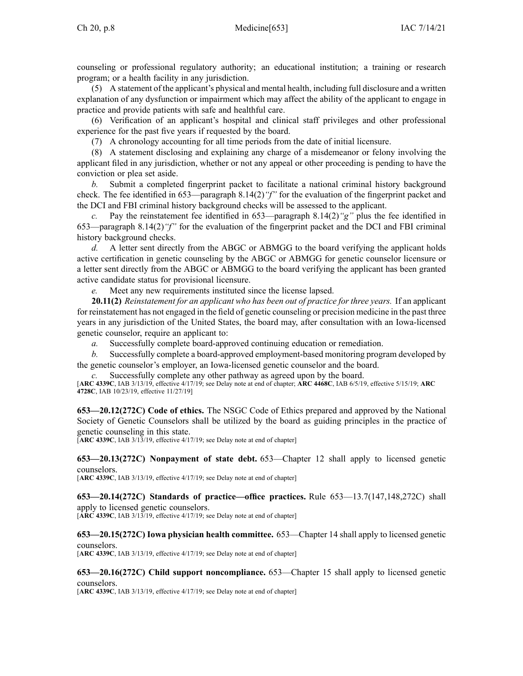counseling or professional regulatory authority; an educational institution; <sup>a</sup> training or research program; or <sup>a</sup> health facility in any jurisdiction.

(5) A statement of the applicant's physical and mental health, including full disclosure and <sup>a</sup> written explanation of any dysfunction or impairment which may affect the ability of the applicant to engage in practice and provide patients with safe and healthful care.

(6) Verification of an applicant's hospital and clinical staff privileges and other professional experience for the pas<sup>t</sup> five years if requested by the board.

(7) A chronology accounting for all time periods from the date of initial licensure.

(8) A statement disclosing and explaining any charge of <sup>a</sup> misdemeanor or felony involving the applicant filed in any jurisdiction, whether or not any appeal or other proceeding is pending to have the conviction or plea set aside.

*b.* Submit <sup>a</sup> completed fingerprint packet to facilitate <sup>a</sup> national criminal history background check. The fee identified in 653—paragraph 8.14(2)*"f"* for the evaluation of the fingerprint packet and the DCI and FBI criminal history background checks will be assessed to the applicant.

*c.* Pay the reinstatement fee identified in 653—paragraph 8.14(2)*"g"* plus the fee identified in 653—paragraph 8.14(2)*"f"* for the evaluation of the fingerprint packet and the DCI and FBI criminal history background checks.

*d.* A letter sent directly from the ABGC or ABMGG to the board verifying the applicant holds active certification in genetic counseling by the ABGC or ABMGG for genetic counselor licensure or <sup>a</sup> letter sent directly from the ABGC or ABMGG to the board verifying the applicant has been granted active candidate status for provisional licensure.

*e.* Meet any new requirements instituted since the license lapsed.

**20.11(2)** *Reinstatement for an applicant who has been out of practice for three years.* If an applicant for reinstatement has not engaged in the field of genetic counseling or precision medicine in the pas<sup>t</sup> three years in any jurisdiction of the United States, the board may, after consultation with an Iowa-licensed genetic counselor, require an applicant to:

*a.* Successfully complete board-approved continuing education or remediation.

*b.* Successfully complete <sup>a</sup> board-approved employment-based monitoring program developed by the genetic counselor's employer, an Iowa-licensed genetic counselor and the board.

Successfully complete any other pathway as agreed upon by the board.

[**ARC [4339C](https://www.legis.iowa.gov/docs/aco/arc/4339C.pdf)**, IAB 3/13/19, effective 4/17/19; see Delay note at end of chapter; **ARC [4468C](https://www.legis.iowa.gov/docs/aco/arc/4468C.pdf)**, IAB 6/5/19, effective 5/15/19; **[ARC](https://www.legis.iowa.gov/docs/aco/arc/4728C.pdf) [4728C](https://www.legis.iowa.gov/docs/aco/arc/4728C.pdf)**, IAB 10/23/19, effective 11/27/19]

**653—20.12(272C) Code of ethics.** The NSGC Code of Ethics prepared and approved by the National Society of Genetic Counselors shall be utilized by the board as guiding principles in the practice of genetic counseling in this state.

[**ARC [4339C](https://www.legis.iowa.gov/docs/aco/arc/4339C.pdf)**, IAB 3/13/19, effective 4/17/19; see Delay note at end of chapter]

**653—20.13(272C) Nonpayment of state debt.** 653—Chapter 12 shall apply to licensed genetic counselors.

[**ARC [4339C](https://www.legis.iowa.gov/docs/aco/arc/4339C.pdf)**, IAB 3/13/19, effective 4/17/19; see Delay note at end of chapter]

**653—20.14(272C) Standards of practice—office practices.** Rule 653—13.7(147,148,272C) shall apply to licensed genetic counselors.

[**ARC [4339C](https://www.legis.iowa.gov/docs/aco/arc/4339C.pdf)**, IAB 3/13/19, effective 4/17/19; see Delay note at end of chapter]

**653—20.15(272C) Iowa physician health committee.** 653—Chapter 14 shall apply to licensed genetic counselors.

[**ARC [4339C](https://www.legis.iowa.gov/docs/aco/arc/4339C.pdf)**, IAB 3/13/19, effective 4/17/19; see Delay note at end of chapter]

**653—20.16(272C) Child suppor<sup>t</sup> noncompliance.** 653—Chapter 15 shall apply to licensed genetic counselors.

[**ARC [4339C](https://www.legis.iowa.gov/docs/aco/arc/4339C.pdf)**, IAB 3/13/19, effective 4/17/19; see Delay note at end of chapter]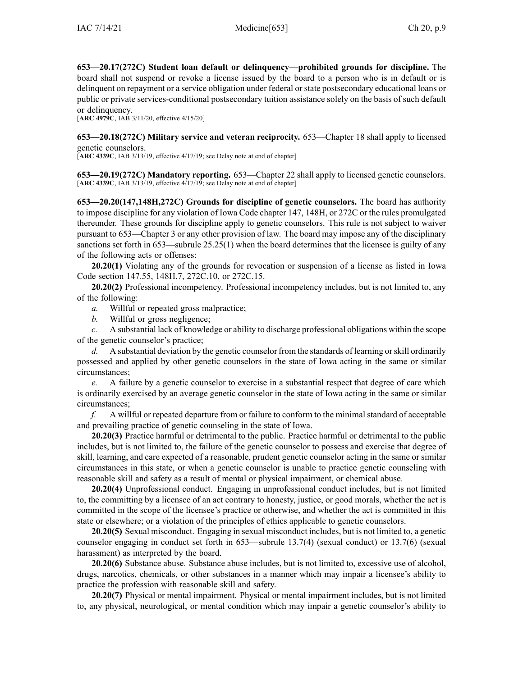**653—20.17(272C) Student loan default or delinquency—prohibited grounds for discipline.** The board shall not suspend or revoke <sup>a</sup> license issued by the board to <sup>a</sup> person who is in default or is delinquent on repaymen<sup>t</sup> or <sup>a</sup> service obligation under federal orstate postsecondary educational loans or public or private services-conditional postsecondary tuition assistance solely on the basis of such default or delinquency.

[**ARC [4979C](https://www.legis.iowa.gov/docs/aco/arc/4979C.pdf)**, IAB 3/11/20, effective 4/15/20]

**653—20.18(272C) Military service and veteran reciprocity.** 653—Chapter 18 shall apply to licensed genetic counselors.

[**ARC [4339C](https://www.legis.iowa.gov/docs/aco/arc/4339C.pdf)**, IAB 3/13/19, effective 4/17/19; see Delay note at end of chapter]

**653—20.19(272C) Mandatory reporting.** 653—Chapter 22 shall apply to licensed genetic counselors. [**ARC [4339C](https://www.legis.iowa.gov/docs/aco/arc/4339C.pdf)**, IAB 3/13/19, effective 4/17/19; see Delay note at end of chapter]

**653—20.20(147,148H,272C) Grounds for discipline of genetic counselors.** The board has authority to impose discipline for any violation of Iowa Code chapter [147](https://www.legis.iowa.gov/docs/ico/chapter/147.pdf), [148H](https://www.legis.iowa.gov/docs/ico/chapter/148H.pdf), or [272C](https://www.legis.iowa.gov/docs/ico/chapter/272C.pdf) or the rules promulgated thereunder. These grounds for discipline apply to genetic counselors. This rule is not subject to waiver pursuan<sup>t</sup> to [653—Chapter](https://www.legis.iowa.gov/docs/iac/chapter/653.3.pdf) 3 or any other provision of law. The board may impose any of the disciplinary sanctions set forth in [653—subrule](https://www.legis.iowa.gov/docs/iac/rule/653.25.25.pdf) 25.25(1) when the board determines that the licensee is guilty of any of the following acts or offenses:

**20.20(1)** Violating any of the grounds for revocation or suspension of <sup>a</sup> license as listed in Iowa Code section [147.55](https://www.legis.iowa.gov/docs/ico/section/147.55.pdf), [148H.7](https://www.legis.iowa.gov/docs/ico/section/148H.7.pdf), [272C.10](https://www.legis.iowa.gov/docs/ico/section/272C.10.pdf), or [272C.15](https://www.legis.iowa.gov/docs/ico/section/272C.15.pdf).

**20.20(2)** Professional incompetency. Professional incompetency includes, but is not limited to, any of the following:

*a.* Willful or repeated gross malpractice;

*b.* Willful or gross negligence;

*c.* A substantial lack of knowledge or ability to discharge professional obligations within the scope of the genetic counselor's practice;

*d.* A substantial deviation by the genetic counselor from the standards of learning orskill ordinarily possessed and applied by other genetic counselors in the state of Iowa acting in the same or similar circumstances;

*e.* A failure by <sup>a</sup> genetic counselor to exercise in <sup>a</sup> substantial respec<sup>t</sup> that degree of care which is ordinarily exercised by an average genetic counselor in the state of Iowa acting in the same or similar circumstances;

*f.* A willful or repeated departure from or failure to conform to the minimal standard of acceptable and prevailing practice of genetic counseling in the state of Iowa.

**20.20(3)** Practice harmful or detrimental to the public. Practice harmful or detrimental to the public includes, but is not limited to, the failure of the genetic counselor to possess and exercise that degree of skill, learning, and care expected of <sup>a</sup> reasonable, prudent genetic counselor acting in the same or similar circumstances in this state, or when <sup>a</sup> genetic counselor is unable to practice genetic counseling with reasonable skill and safety as <sup>a</sup> result of mental or physical impairment, or chemical abuse.

**20.20(4)** Unprofessional conduct. Engaging in unprofessional conduct includes, but is not limited to, the committing by <sup>a</sup> licensee of an act contrary to honesty, justice, or good morals, whether the act is committed in the scope of the licensee's practice or otherwise, and whether the act is committed in this state or elsewhere; or <sup>a</sup> violation of the principles of ethics applicable to genetic counselors.

**20.20(5)** Sexual misconduct. Engaging in sexual misconduct includes, but is not limited to, <sup>a</sup> genetic counselor engaging in conduct set forth in 653—subrule 13.7(4) (sexual conduct) or 13.7(6) (sexual harassment) as interpreted by the board.

**20.20(6)** Substance abuse. Substance abuse includes, but is not limited to, excessive use of alcohol, drugs, narcotics, chemicals, or other substances in <sup>a</sup> manner which may impair <sup>a</sup> licensee's ability to practice the profession with reasonable skill and safety.

**20.20(7)** Physical or mental impairment. Physical or mental impairment includes, but is not limited to, any physical, neurological, or mental condition which may impair <sup>a</sup> genetic counselor's ability to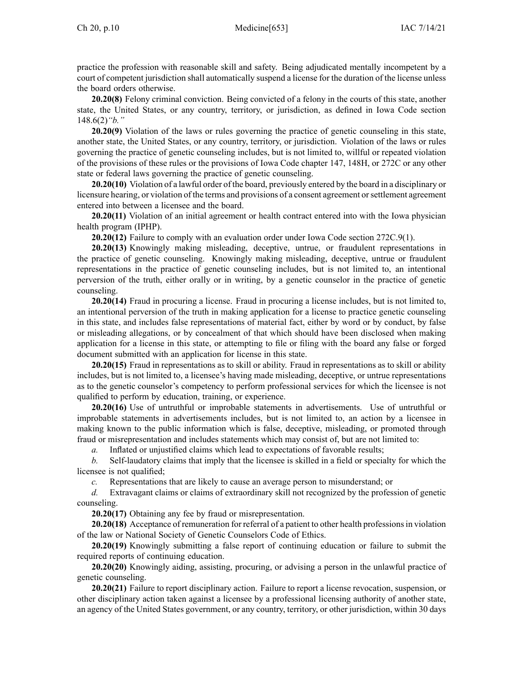practice the profession with reasonable skill and safety. Being adjudicated mentally incompetent by <sup>a</sup> court of competent jurisdiction shall automatically suspend <sup>a</sup> license for the duration of the license unless the board orders otherwise.

**20.20(8)** Felony criminal conviction. Being convicted of <sup>a</sup> felony in the courts of this state, another state, the United States, or any country, territory, or jurisdiction, as defined in Iowa Code section [148.6\(2\)](https://www.legis.iowa.gov/docs/ico/section/148.6.pdf)*"b."*

**20.20(9)** Violation of the laws or rules governing the practice of genetic counseling in this state, another state, the United States, or any country, territory, or jurisdiction. Violation of the laws or rules governing the practice of genetic counseling includes, but is not limited to, willful or repeated violation of the provisions of these rules or the provisions of Iowa Code chapter [147](https://www.legis.iowa.gov/docs/ico/chapter/147.pdf), [148H](https://www.legis.iowa.gov/docs/ico/chapter/148H.pdf), or [272C](https://www.legis.iowa.gov/docs/ico/chapter/272C.pdf) or any other state or federal laws governing the practice of genetic counseling.

**20.20(10)** Violation of <sup>a</sup> lawful order of the board, previously entered by the board in <sup>a</sup> disciplinary or licensure hearing, or violation of the terms and provisions of a consent agreement or settlement agreement entered into between <sup>a</sup> licensee and the board.

**20.20(11)** Violation of an initial agreemen<sup>t</sup> or health contract entered into with the Iowa physician health program (IPHP).

**20.20(12)** Failure to comply with an evaluation order under Iowa Code section [272C.9\(1\)](https://www.legis.iowa.gov/docs/ico/section/272C.9.pdf).

**20.20(13)** Knowingly making misleading, deceptive, untrue, or fraudulent representations in the practice of genetic counseling. Knowingly making misleading, deceptive, untrue or fraudulent representations in the practice of genetic counseling includes, but is not limited to, an intentional perversion of the truth, either orally or in writing, by <sup>a</sup> genetic counselor in the practice of genetic counseling.

**20.20(14)** Fraud in procuring <sup>a</sup> license. Fraud in procuring <sup>a</sup> license includes, but is not limited to, an intentional perversion of the truth in making application for <sup>a</sup> license to practice genetic counseling in this state, and includes false representations of material fact, either by word or by conduct, by false or misleading allegations, or by concealment of that which should have been disclosed when making application for <sup>a</sup> license in this state, or attempting to file or filing with the board any false or forged document submitted with an application for license in this state.

**20.20(15)** Fraud in representations as to skill or ability. Fraud in representations as to skill or ability includes, but is not limited to, <sup>a</sup> licensee's having made misleading, deceptive, or untrue representations as to the genetic counselor's competency to perform professional services for which the licensee is not qualified to perform by education, training, or experience.

**20.20(16)** Use of untruthful or improbable statements in advertisements. Use of untruthful or improbable statements in advertisements includes, but is not limited to, an action by <sup>a</sup> licensee in making known to the public information which is false, deceptive, misleading, or promoted through fraud or misrepresentation and includes statements which may consist of, but are not limited to:

*a.* Inflated or unjustified claims which lead to expectations of favorable results;

*b.* Self-laudatory claims that imply that the licensee is skilled in <sup>a</sup> field or specialty for which the licensee is not qualified;

*c.* Representations that are likely to cause an average person to misunderstand; or

*d.* Extravagant claims or claims of extraordinary skill not recognized by the profession of genetic counseling.

**20.20(17)** Obtaining any fee by fraud or misrepresentation.

**20.20(18)** Acceptance of remuneration for referral of <sup>a</sup> patient to other health professionsin violation of the law or National Society of Genetic Counselors Code of Ethics.

**20.20(19)** Knowingly submitting <sup>a</sup> false repor<sup>t</sup> of continuing education or failure to submit the required reports of continuing education.

**20.20(20)** Knowingly aiding, assisting, procuring, or advising <sup>a</sup> person in the unlawful practice of genetic counseling.

**20.20(21)** Failure to repor<sup>t</sup> disciplinary action. Failure to repor<sup>t</sup> <sup>a</sup> license revocation, suspension, or other disciplinary action taken against <sup>a</sup> licensee by <sup>a</sup> professional licensing authority of another state, an agency of the United States government, or any country, territory, or other jurisdiction, within 30 days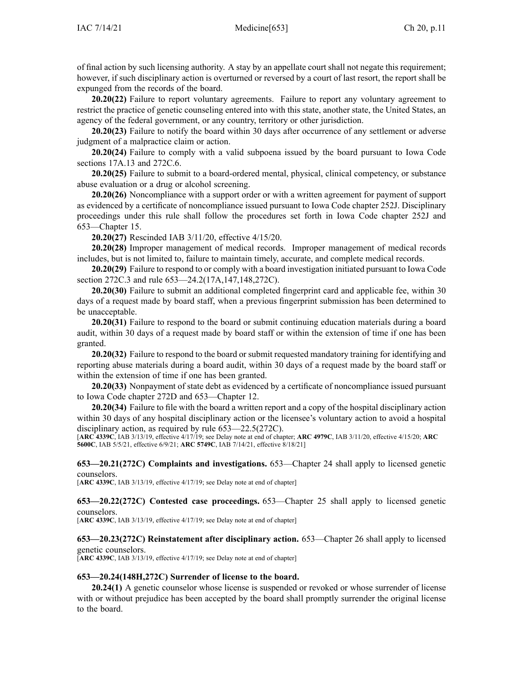of final action by such licensing authority. A stay by an appellate court shall not negate this requirement; however, if such disciplinary action is overturned or reversed by <sup>a</sup> court of last resort, the repor<sup>t</sup> shall be expunged from the records of the board.

**20.20(22)** Failure to repor<sup>t</sup> voluntary agreements. Failure to repor<sup>t</sup> any voluntary agreemen<sup>t</sup> to restrict the practice of genetic counseling entered into with this state, another state, the United States, an agency of the federal government, or any country, territory or other jurisdiction.

**20.20(23)** Failure to notify the board within 30 days after occurrence of any settlement or adverse judgment of <sup>a</sup> malpractice claim or action.

**20.20(24)** Failure to comply with <sup>a</sup> valid subpoena issued by the board pursuan<sup>t</sup> to Iowa Code sections [17A.13](https://www.legis.iowa.gov/docs/ico/section/17A.13.pdf) and [272C.6](https://www.legis.iowa.gov/docs/ico/section/272C.6.pdf).

**20.20(25)** Failure to submit to <sup>a</sup> board-ordered mental, physical, clinical competency, or substance abuse evaluation or <sup>a</sup> drug or alcohol screening.

**20.20(26)** Noncompliance with <sup>a</sup> suppor<sup>t</sup> order or with <sup>a</sup> written agreemen<sup>t</sup> for paymen<sup>t</sup> of suppor<sup>t</sup> as evidenced by <sup>a</sup> certificate of noncompliance issued pursuan<sup>t</sup> to Iowa Code chapter [252J](https://www.legis.iowa.gov/docs/ico/chapter/252J.pdf). Disciplinary proceedings under this rule shall follow the procedures set forth in Iowa Code chapter [252J](https://www.legis.iowa.gov/docs/ico/chapter/252J.pdf) and 653—Chapter 15.

**20.20(27)** Rescinded IAB [3/11/20](https://www.legis.iowa.gov/docs/aco/bulletin/03-11-2020.pdf), effective 4/15/20.

**20.20(28)** Improper managemen<sup>t</sup> of medical records. Improper managemen<sup>t</sup> of medical records includes, but is not limited to, failure to maintain timely, accurate, and complete medical records.

**20.20(29)** Failure to respond to or comply with <sup>a</sup> board investigation initiated pursuan<sup>t</sup> to Iowa Code section [272C.3](https://www.legis.iowa.gov/docs/ico/section/272C.3.pdf) and rule 653—24.2(17A,147,148,272C).

**20.20(30)** Failure to submit an additional completed fingerprint card and applicable fee, within 30 days of <sup>a</sup> reques<sup>t</sup> made by board staff, when <sup>a</sup> previous fingerprint submission has been determined to be unacceptable.

**20.20(31)** Failure to respond to the board or submit continuing education materials during <sup>a</sup> board audit, within 30 days of <sup>a</sup> reques<sup>t</sup> made by board staff or within the extension of time if one has been granted.

**20.20(32)** Failure to respond to the board or submit requested mandatory training for identifying and reporting abuse materials during <sup>a</sup> board audit, within 30 days of <sup>a</sup> reques<sup>t</sup> made by the board staff or within the extension of time if one has been granted.

**20.20(33)** Nonpayment of state debt as evidenced by <sup>a</sup> certificate of noncompliance issued pursuan<sup>t</sup> to Iowa Code chapter [272D](https://www.legis.iowa.gov/docs/ico/chapter/272D.pdf) and 653—Chapter 12.

**20.20(34)** Failure to file with the board <sup>a</sup> written repor<sup>t</sup> and <sup>a</sup> copy of the hospital disciplinary action within 30 days of any hospital disciplinary action or the licensee's voluntary action to avoid <sup>a</sup> hospital disciplinary action, as required by rule 653—22.5(272C).

[**ARC [4339C](https://www.legis.iowa.gov/docs/aco/arc/4339C.pdf)**, IAB 3/13/19, effective 4/17/19; see Delay note at end of chapter; **ARC [4979C](https://www.legis.iowa.gov/docs/aco/arc/4979C.pdf)**, IAB 3/11/20, effective 4/15/20; **[ARC](https://www.legis.iowa.gov/docs/aco/arc/5600C.pdf) [5600C](https://www.legis.iowa.gov/docs/aco/arc/5600C.pdf)**, IAB 5/5/21, effective 6/9/21; **ARC [5749C](https://www.legis.iowa.gov/docs/aco/arc/5749C.pdf)**, IAB 7/14/21, effective 8/18/21]

**653—20.21(272C) Complaints and investigations.** 653—Chapter 24 shall apply to licensed genetic counselors.

[**ARC [4339C](https://www.legis.iowa.gov/docs/aco/arc/4339C.pdf)**, IAB 3/13/19, effective 4/17/19; see Delay note at end of chapter]

**653—20.22(272C) Contested case proceedings.** 653—Chapter 25 shall apply to licensed genetic counselors.

[**ARC [4339C](https://www.legis.iowa.gov/docs/aco/arc/4339C.pdf)**, IAB 3/13/19, effective 4/17/19; see Delay note at end of chapter]

**653—20.23(272C) Reinstatement after disciplinary action.** 653—Chapter 26 shall apply to licensed genetic counselors.

[**ARC [4339C](https://www.legis.iowa.gov/docs/aco/arc/4339C.pdf)**, IAB 3/13/19, effective 4/17/19; see Delay note at end of chapter]

#### **653—20.24(148H,272C) Surrender of license to the board.**

**20.24(1)** A genetic counselor whose license is suspended or revoked or whose surrender of license with or without prejudice has been accepted by the board shall promptly surrender the original license to the board.